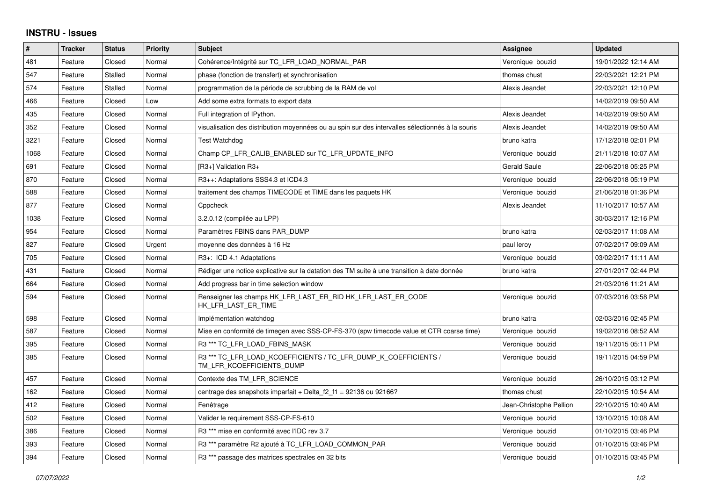## **INSTRU - Issues**

| #    | <b>Tracker</b> | <b>Status</b>  | <b>Priority</b> | <b>Subject</b>                                                                                   | <b>Assignee</b>         | <b>Updated</b>      |
|------|----------------|----------------|-----------------|--------------------------------------------------------------------------------------------------|-------------------------|---------------------|
| 481  | Feature        | Closed         | Normal          | Cohérence/Intégrité sur TC LFR LOAD NORMAL PAR                                                   | Veronique bouzid        | 19/01/2022 12:14 AM |
| 547  | Feature        | <b>Stalled</b> | Normal          | phase (fonction de transfert) et synchronisation                                                 | thomas chust            | 22/03/2021 12:21 PM |
| 574  | Feature        | Stalled        | Normal          | programmation de la période de scrubbing de la RAM de vol                                        | Alexis Jeandet          | 22/03/2021 12:10 PM |
| 466  | Feature        | Closed         | Low             | Add some extra formats to export data                                                            |                         | 14/02/2019 09:50 AM |
| 435  | Feature        | Closed         | Normal          | Full integration of IPython.                                                                     | Alexis Jeandet          | 14/02/2019 09:50 AM |
| 352  | Feature        | Closed         | Normal          | visualisation des distribution moyennées ou au spin sur des intervalles sélectionnés à la souris | Alexis Jeandet          | 14/02/2019 09:50 AM |
| 3221 | Feature        | Closed         | Normal          | <b>Test Watchdog</b>                                                                             | bruno katra             | 17/12/2018 02:01 PM |
| 1068 | Feature        | Closed         | Normal          | Champ CP LFR CALIB ENABLED sur TC LFR UPDATE INFO                                                | Veronique bouzid        | 21/11/2018 10:07 AM |
| 691  | Feature        | Closed         | Normal          | [R3+] Validation R3+                                                                             | Gerald Saule            | 22/06/2018 05:25 PM |
| 870  | Feature        | Closed         | Normal          | R3++: Adaptations SSS4.3 et ICD4.3                                                               | Veronique bouzid        | 22/06/2018 05:19 PM |
| 588  | Feature        | Closed         | Normal          | traitement des champs TIMECODE et TIME dans les paquets HK                                       | Veronique bouzid        | 21/06/2018 01:36 PM |
| 877  | Feature        | Closed         | Normal          | Cppcheck                                                                                         | Alexis Jeandet          | 11/10/2017 10:57 AM |
| 1038 | Feature        | Closed         | Normal          | 3.2.0.12 (compilée au LPP)                                                                       |                         | 30/03/2017 12:16 PM |
| 954  | Feature        | Closed         | Normal          | Paramètres FBINS dans PAR DUMP                                                                   | bruno katra             | 02/03/2017 11:08 AM |
| 827  | Feature        | Closed         | Urgent          | moyenne des données à 16 Hz                                                                      | paul leroy              | 07/02/2017 09:09 AM |
| 705  | Feature        | Closed         | Normal          | R3+: ICD 4.1 Adaptations                                                                         | Veronique bouzid        | 03/02/2017 11:11 AM |
| 431  | Feature        | Closed         | Normal          | Rédiger une notice explicative sur la datation des TM suite à une transition à date donnée       | bruno katra             | 27/01/2017 02:44 PM |
| 664  | Feature        | Closed         | Normal          | Add progress bar in time selection window                                                        |                         | 21/03/2016 11:21 AM |
| 594  | Feature        | Closed         | Normal          | Renseigner les champs HK_LFR_LAST_ER_RID HK_LFR_LAST_ER_CODE<br>HK_LFR_LAST_ER_TIME              | Veronique bouzid        | 07/03/2016 03:58 PM |
| 598  | Feature        | Closed         | Normal          | Implémentation watchdog                                                                          | bruno katra             | 02/03/2016 02:45 PM |
| 587  | Feature        | Closed         | Normal          | Mise en conformité de timegen avec SSS-CP-FS-370 (spw timecode value et CTR coarse time)         | Veronique bouzid        | 19/02/2016 08:52 AM |
| 395  | Feature        | Closed         | Normal          | R3 *** TC LFR LOAD FBINS MASK                                                                    | Veronique bouzid        | 19/11/2015 05:11 PM |
| 385  | Feature        | Closed         | Normal          | R3 *** TC_LFR_LOAD_KCOEFFICIENTS / TC_LFR_DUMP_K_COEFFICIENTS /<br>TM_LFR_KCOEFFICIENTS_DUMP     | Veronique bouzid        | 19/11/2015 04:59 PM |
| 457  | Feature        | Closed         | Normal          | Contexte des TM LFR SCIENCE                                                                      | Veronique bouzid        | 26/10/2015 03:12 PM |
| 162  | Feature        | Closed         | Normal          | centrage des snapshots imparfait + Delta $f2 f1 = 92136$ ou 92166?                               | thomas chust            | 22/10/2015 10:54 AM |
| 412  | Feature        | Closed         | Normal          | Fenêtrage                                                                                        | Jean-Christophe Pellion | 22/10/2015 10:40 AM |
| 502  | Feature        | Closed         | Normal          | Valider le requirement SSS-CP-FS-610                                                             | Veronique bouzid        | 13/10/2015 10:08 AM |
| 386  | Feature        | Closed         | Normal          | R3 <sup>***</sup> mise en conformité avec l'IDC rev 3.7                                          | Veronique bouzid        | 01/10/2015 03:46 PM |
| 393  | Feature        | Closed         | Normal          | R3 *** paramètre R2 ajouté à TC_LFR_LOAD_COMMON_PAR                                              | Veronique bouzid        | 01/10/2015 03:46 PM |
| 394  | Feature        | Closed         | Normal          | R3 *** passage des matrices spectrales en 32 bits                                                | Veronique bouzid        | 01/10/2015 03:45 PM |